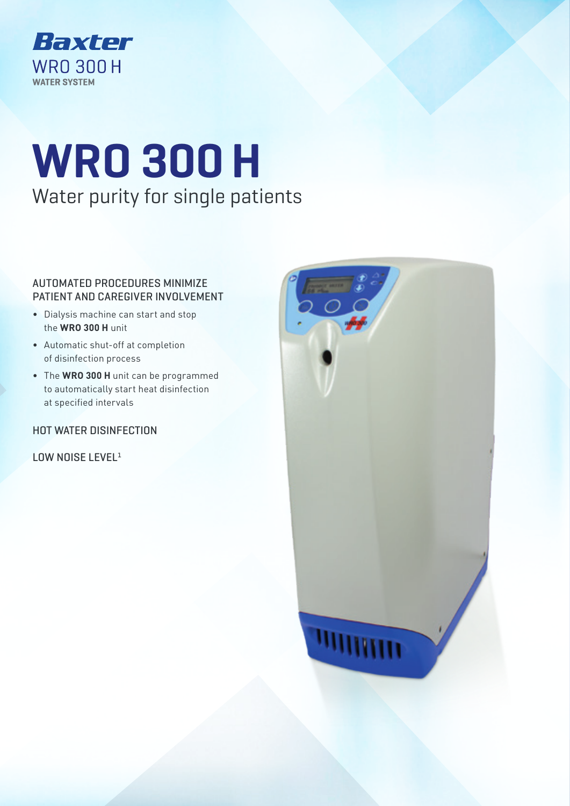

# **WRO 300 H** Water purity for single patients

### AUTOMATED PROCEDURES MINIMIZE PATIENT AND CAREGIVER INVOLVEMENT

- Dialysis machine can start and stop the **WRO 300 H** unit
- Automatic shut-off at completion of disinfection process
- The **WRO 300 H** unit can be programmed to automatically start heat disinfection at specified intervals

## HOT WATER DISINFECTION

LOW NOISE LEVEL<sup>1</sup>